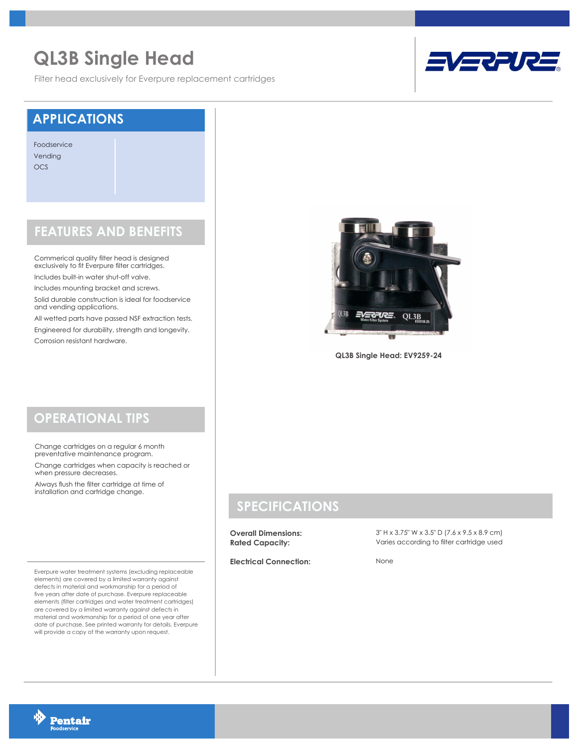# **QL3B Single Head**

Filter head exclusively for Everpure replacement cartridges



#### **APPLICATIONS**

Foodservice Vending OCS

### **FEATURES AND BENEFITS**

Commerical quality filter head is designed exclusively to fit Everpure filter cartridges.

Includes built-in water shut-off valve.

Includes mounting bracket and screws.

Solid durable construction is ideal for foodservice and vending applications.

All wetted parts have passed NSF extraction tests. Engineered for durability, strength and longevity. Corrosion resistant hardware.



**QL3B Single Head: EV9259-24**

## **OPERATIONAL TIPS**

Change cartridges on a regular 6 month preventative maintenance program.

Change cartridges when capacity is reached or when pressure decreases.

Always flush the filter cartridge at time of installation and cartridge change.

Everpure water treatment systems (excluding replaceable elements) are covered by a limited warranty against defects in material and workmanship for a period of five years after date of purchase. Everpure replaceable elements (filter cartridges and water treatment cartridges) are covered by a limited warranty against defects in material and workmanship for a period of one year after date of purchase. See printed warranty for details. Everpure will provide a copy of the warranty upon request.

#### **SPECIFICATIONS**

**Overall Dimensions: Rated Capacity:**

**Electrical Connection:**

3" H x 3.75" W x 3.5" D (7.6 x 9.5 x 8.9 cm) Varies according to filter cartridge used

None